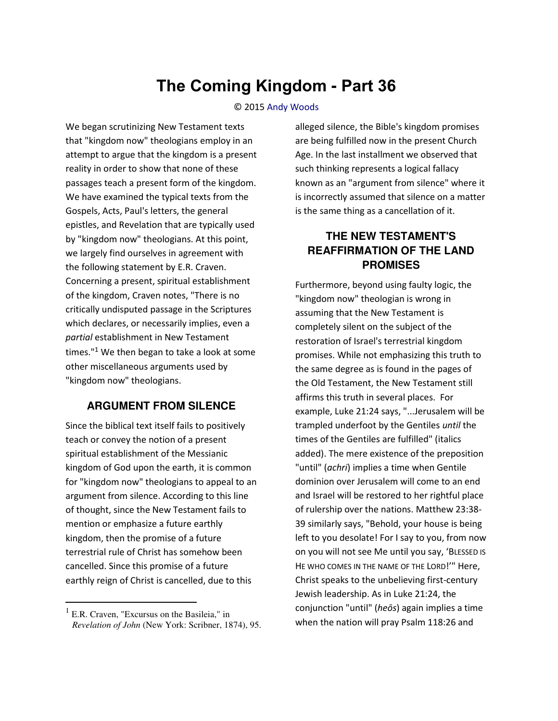# **The Coming Kingdom - Part 36**

#### © 2015 [Andy Woods](http://www.spiritandtruth.org/id/aw.htm)

We began scrutinizing New Testament texts that "kingdom now" theologians employ in an attempt to argue that the kingdom is a present reality in order to show that none of these passages teach a present form of the kingdom. We have examined the typical texts from the Gospels, Acts, Paul's letters, the general epistles, and Revelation that are typically used by "kingdom now" theologians. At this point, we largely find ourselves in agreement with the following statement by E.R. Craven. Concerning a present, spiritual establishment of the kingdom, Craven notes, "There is no critically undisputed passage in the Scriptures which declares, or necessarily implies, even a *partial* establishment in New Testament times."<sup>1</sup> We then began to take a look at some other miscellaneous arguments used by "kingdom now" theologians.

#### **ARGUMENT FROM SILENCE**

Since the biblical text itself fails to positively teach or convey the notion of a present spiritual establishment of the Messianic kingdom of God upon the earth, it is common for "kingdom now" theologians to appeal to an argument from silence. According to this line of thought, since the New Testament fails to mention or emphasize a future earthly kingdom, then the promise of a future terrestrial rule of Christ has somehow been cancelled. Since this promise of a future earthly reign of Christ is cancelled, due to this

 $\overline{a}$ 

alleged silence, the Bible's kingdom promises are being fulfilled now in the present Church Age. In the last installment we observed that such thinking represents a logical fallacy known as an "argument from silence" where it is incorrectly assumed that silence on a matter is the same thing as a cancellation of it.

## **THE NEW TESTAMENT'S REAFFIRMATION OF THE LAND PROMISES**

Furthermore, beyond using faulty logic, the "kingdom now" theologian is wrong in assuming that the New Testament is completely silent on the subject of the restoration of Israel's terrestrial kingdom promises. While not emphasizing this truth to the same degree as is found in the pages of the Old Testament, the New Testament still affirms this truth in several places. For example, Luke 21:24 says, "...Jerusalem will be trampled underfoot by the Gentiles *until* the times of the Gentiles are fulfilled" (italics added). The mere existence of the preposition "until" (*achri*) implies a time when Gentile dominion over Jerusalem will come to an end and Israel will be restored to her rightful place of rulership over the nations. Matthew 23:38- 39 similarly says, "Behold, your house is being left to you desolate! For I say to you, from now on you will not see Me until you say, 'BLESSED IS HE WHO COMES IN THE NAME OF THE LORD!" Here, Christ speaks to the unbelieving first-century Jewish leadership. As in Luke 21:24, the conjunction "until" (*heōs*) again implies a time when the nation will pray Psalm 118:26 and

<sup>&</sup>lt;sup>1</sup> E.R. Craven, "Excursus on the Basileia," in *Revelation of John* (New York: Scribner, 1874), 95.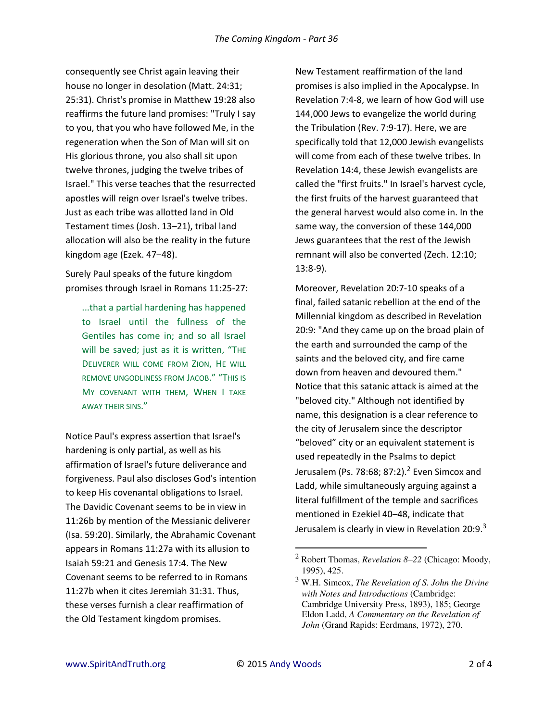consequently see Christ again leaving their house no longer in desolation (Matt. 24:31; 25:31). Christ's promise in Matthew 19:28 also reaffirms the future land promises: "Truly I say to you, that you who have followed Me, in the regeneration when the Son of Man will sit on His glorious throne, you also shall sit upon twelve thrones, judging the twelve tribes of Israel." This verse teaches that the resurrected apostles will reign over Israel's twelve tribes. Just as each tribe was allotted land in Old Testament times (Josh. 13-21), tribal land allocation will also be the reality in the future kingdom age (Ezek. 47-48).

Surely Paul speaks of the future kingdom promises through Israel in Romans 11:25-27:

...that a partial hardening has happened to Israel until the fullness of the Gentiles has come in; and so all Israel will be saved; just as it is written, "THE DELIVERER WILL COME FROM ZION, HE WILL REMOVE UNGODLINESS FROM JACOB.<sup>"</sup> "THIS IS MY COVENANT WITH THEM, WHEN I TAKE AWAY THEIR SINS."

Notice Paul's express assertion that Israel's hardening is only partial, as well as his affirmation of Israel's future deliverance and forgiveness. Paul also discloses God's intention to keep His covenantal obligations to Israel. The Davidic Covenant seems to be in view in 11:26b by mention of the Messianic deliverer (Isa. 59:20). Similarly, the Abrahamic Covenant appears in Romans 11:27a with its allusion to Isaiah 59:21 and Genesis 17:4. The New Covenant seems to be referred to in Romans 11:27b when it cites Jeremiah 31:31. Thus, these verses furnish a clear reaffirmation of the Old Testament kingdom promises.

New Testament reaffirmation of the land promises is also implied in the Apocalypse. In Revelation 7:4-8, we learn of how God will use 144,000 Jews to evangelize the world during the Tribulation (Rev. 7:9-17). Here, we are specifically told that 12,000 Jewish evangelists will come from each of these twelve tribes. In Revelation 14:4, these Jewish evangelists are called the "first fruits." In Israel's harvest cycle, the first fruits of the harvest guaranteed that the general harvest would also come in. In the same way, the conversion of these 144,000 Jews guarantees that the rest of the Jewish remnant will also be converted (Zech. 12:10; 13:8-9).

Moreover, Revelation 20:7-10 speaks of a final, failed satanic rebellion at the end of the Millennial kingdom as described in Revelation 20:9: "And they came up on the broad plain of the earth and surrounded the camp of the saints and the beloved city, and fire came down from heaven and devoured them." Notice that this satanic attack is aimed at the "beloved city." Although not identified by name, this designation is a clear reference to the city of Jerusalem since the descriptor "beloved" city or an equivalent statement is used repeatedly in the Psalms to depict Jerusalem (Ps. 78:68; 87:2).<sup>2</sup> Even Simcox and Ladd, while simultaneously arguing against a literal fulfillment of the temple and sacrifices mentioned in Ezekiel 40–48, indicate that Jerusalem is clearly in view in Revelation 20:9.<sup>3</sup>

 $\overline{a}$ 

<sup>2</sup> Robert Thomas, *Revelation 8–22* (Chicago: Moody, 1995), 425.

<sup>3</sup> W.H. Simcox, *The Revelation of S. John the Divine with Notes and Introductions* (Cambridge: Cambridge University Press, 1893), 185; George Eldon Ladd, *A Commentary on the Revelation of John* (Grand Rapids: Eerdmans, 1972), 270.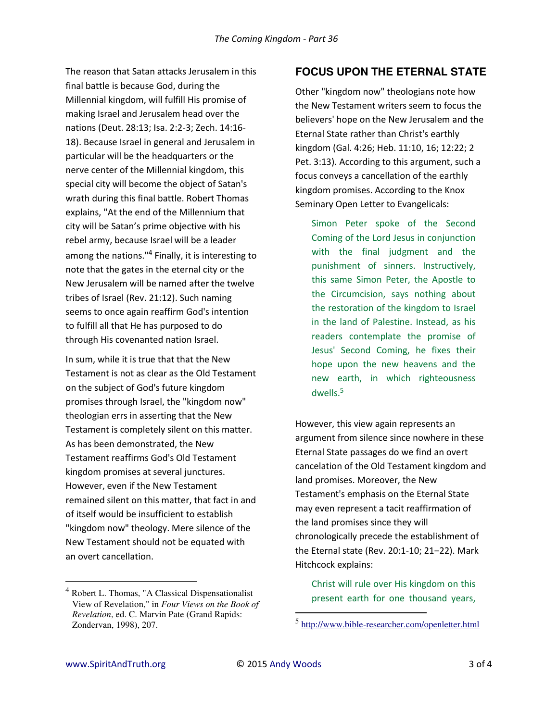The reason that Satan attacks Jerusalem in this final battle is because God, during the Millennial kingdom, will fulfill His promise of making Israel and Jerusalem head over the nations (Deut. 28:13; Isa. 2:2-3; Zech. 14:16- 18). Because Israel in general and Jerusalem in particular will be the headquarters or the nerve center of the Millennial kingdom, this special city will become the object of Satan's wrath during this final battle. Robert Thomas explains, "At the end of the Millennium that city will be Satan's prime objective with his rebel army, because Israel will be a leader among the nations."<sup>4</sup> Finally, it is interesting to note that the gates in the eternal city or the New Jerusalem will be named after the twelve tribes of Israel (Rev. 21:12). Such naming seems to once again reaffirm God's intention to fulfill all that He has purposed to do through His covenanted nation Israel.

In sum, while it is true that that the New Testament is not as clear as the Old Testament on the subject of God's future kingdom promises through Israel, the "kingdom now" theologian errs in asserting that the New Testament is completely silent on this matter. As has been demonstrated, the New Testament reaffirms God's Old Testament kingdom promises at several junctures. However, even if the New Testament remained silent on this matter, that fact in and of itself would be insufficient to establish "kingdom now" theology. Mere silence of the New Testament should not be equated with an overt cancellation.

### **FOCUS UPON THE ETERNAL STATE**

Other "kingdom now" theologians note how the New Testament writers seem to focus the believers' hope on the New Jerusalem and the Eternal State rather than Christ's earthly kingdom (Gal. 4:26; Heb. 11:10, 16; 12:22; 2 Pet. 3:13). According to this argument, such a focus conveys a cancellation of the earthly kingdom promises. According to the Knox Seminary Open Letter to Evangelicals:

Simon Peter spoke of the Second Coming of the Lord Jesus in conjunction with the final judgment and the punishment of sinners. Instructively, this same Simon Peter, the Apostle to the Circumcision, says nothing about the restoration of the kingdom to Israel in the land of Palestine. Instead, as his readers contemplate the promise of Jesus' Second Coming, he fixes their hope upon the new heavens and the new earth, in which righteousness dwells.<sup>5</sup>

However, this view again represents an argument from silence since nowhere in these Eternal State passages do we find an overt cancelation of the Old Testament kingdom and land promises. Moreover, the New Testament's emphasis on the Eternal State may even represent a tacit reaffirmation of the land promises since they will chronologically precede the establishment of the Eternal state (Rev. 20:1-10; 21-22). Mark Hitchcock explains:

Christ will rule over His kingdom on this present earth for one thousand years,

 $\overline{a}$ 

 $\overline{a}$ 

<sup>&</sup>lt;sup>4</sup> Robert L. Thomas, "A Classical Dispensationalist View of Revelation," in *Four Views on the Book of Revelation*, ed. C. Marvin Pate (Grand Rapids: Zondervan, 1998), 207.

<sup>&</sup>lt;sup>5</sup> <http://www.bible-researcher.com/openletter.html>